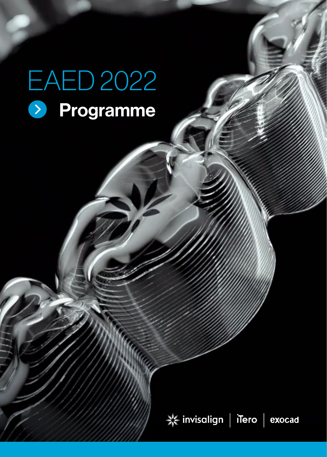# EAED 2022 > Programme

→ invisalign | iTero | exocad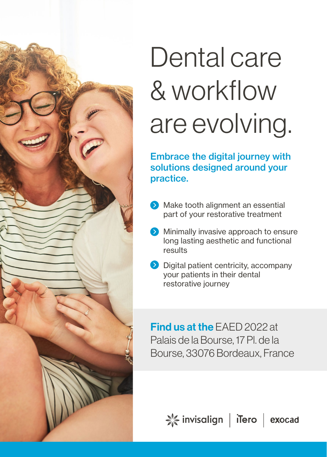

# Dental care & workflow are evolving.

Embrace the digital journey with solutions designed around your practice.

- $\bullet$  Make tooth alignment an essential part of your restorative treatment
- **Minimally invasive approach to ensure** long lasting aesthetic and functional results
- **Digital patient centricity, accompany** your patients in their dental restorative journey

Find us at the EAED 2022 at Palais de la Bourse, 17 Pl. de la Bourse, 33076 Bordeaux, France

 $\leq$  invisalign | iTero | exocad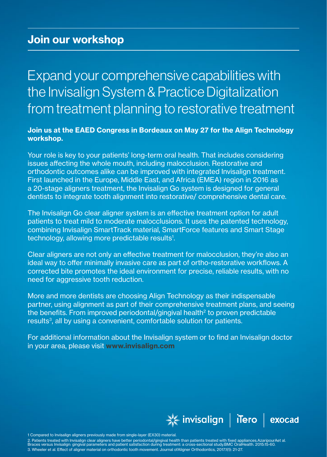### Join our workshop

Expand your comprehensive capabilities with the Invisalign System & Practice Digitalization from treatment planning to restorative treatment

#### Join us at the EAED Congress in Bordeaux on May 27 for the Align Technology workshop.

Your role is key to your patients' long-term oral health. That includes considering issues affecting the whole mouth, including malocclusion. Restorative and orthodontic outcomes alike can be improved with integrated Invisalign treatment. First launched in the Europe, Middle East, and Africa (EMEA) region in 2016 as a 20-stage aligners treatment, the Invisalign Go system is designed for general dentists to integrate tooth alignment into restorative/ comprehensive dental care.

The Invisalign Go clear aligner system is an effective treatment option for adult patients to treat mild to moderate malocclusions. It uses the patented technology, combining Invisalign SmartTrack material, SmartForce features and Smart Stage technology, allowing more predictable results<sup>1</sup>.

Clear aligners are not only an effective treatment for malocclusion, they're also an ideal way to offer minimally invasive care as part of ortho-restorative workflows. A corrected bite promotes the ideal environment for precise, reliable results, with no need for aggressive tooth reduction.

More and more dentists are choosing Align Technology as their indispensable partner, using alignment as part of their comprehensive treatment plans, and seeing the benefits. From improved periodontal/gingival health2 to proven predictable results<sup>3</sup>, all by using a convenient, comfortable solution for patients.

For additional information about the Invisalign system or to find an Invisalign doctor in your area, please visit www.invisalign.com



1 Compared to Invisalign aligners previously made from single-layer (EX30) material.

2. Patients treated with Invisalign clear aligners have better periodontal/gingival health than patients treated with fixed appliances.AzaripourAet al.<br>Braces versus Invisalign: gingival parameters and patient satisfaction 3. Wheeler et al. Effect of aligner material on orthodontic tooth movement. Journal ofAligner Orthodontics, 2017.1(1): 21-27.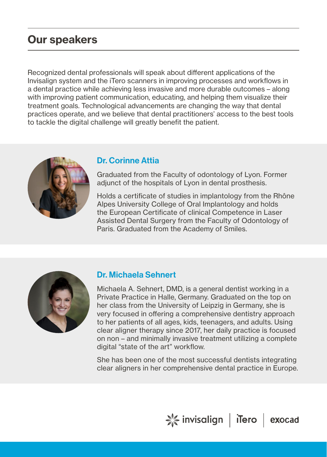### Our speakers

Recognized dental professionals will speak about different applications of the Invisalign system and the iTero scanners in improving processes and workflows in a dental practice while achieving less invasive and more durable outcomes – along with improving patient communication, educating, and helping them visualize their treatment goals. Technological advancements are changing the way that dental practices operate, and we believe that dental practitioners' access to the best tools to tackle the digital challenge will greatly benefit the patient.



#### Dr. Corinne Attia

Graduated from the Faculty of odontology of Lyon. Former adjunct of the hospitals of Lyon in dental prosthesis.

Holds a certificate of studies in implantology from the Rhône Alpes University College of Oral Implantology and holds the European Certificate of clinical Competence in Laser Assisted Dental Surgery from the Faculty of Odontology of Paris. Graduated from the Academy of Smiles.



#### Dr. Michaela Sehnert

Michaela A. Sehnert, DMD, is a general dentist working in a Private Practice in Halle, Germany. Graduated on the top on her class from the University of Leipzig in Germany, she is very focused in offering a comprehensive dentistry approach to her patients of all ages, kids, teenagers, and adults. Using clear aligner therapy since 2017, her daily practice is focused on non – and minimally invasive treatment utilizing a complete digital "state of the art" workflow.

She has been one of the most successful dentists integrating clear aligners in her comprehensive dental practice in Europe.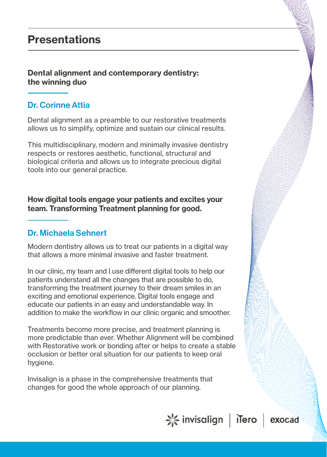#### Dental alignment and contemporary dentistry: the winning duo

#### Dr. Corinne Attia

Dental alignment as a preamble to our restorative treatments allows us to simplify, optimize and sustain our clinical results.

This multidisciplinary, modern and minimally invasive dentistry respects or restores aesthetic, functional, structural and biological criteria and allows us to integrate precious digital tools into our general practice.

How digital tools engage your patients and excites your team. Transforming Treatment planning for good.

#### Dr. Michaela Sehnert

Modern dentistry allows us to treat our patients in a digital way that allows a more minimal invasive and faster treatment.

In our clinic, my team and I use different digital tools to help our patients understand all the changes that are possible to do, transforming the treatment journey to their dream smiles in an exciting and emotional experience. Digital tools engage and educate our patients in an easy and understandable way. In addition to make the workflow in our clinic organic and smoother.

Treatments become more precise, and treatment planning is more predictable than ever. Whether Alignment will be combined with Restorative work or bonding after or helps to create a stable occlusion or better oral situation for our patients to keep oral hygiene.

Invisalign is a phase in the comprehensive treatments that changes for good the whole approach of our planning.

☆ invisalign | iTero | exocad